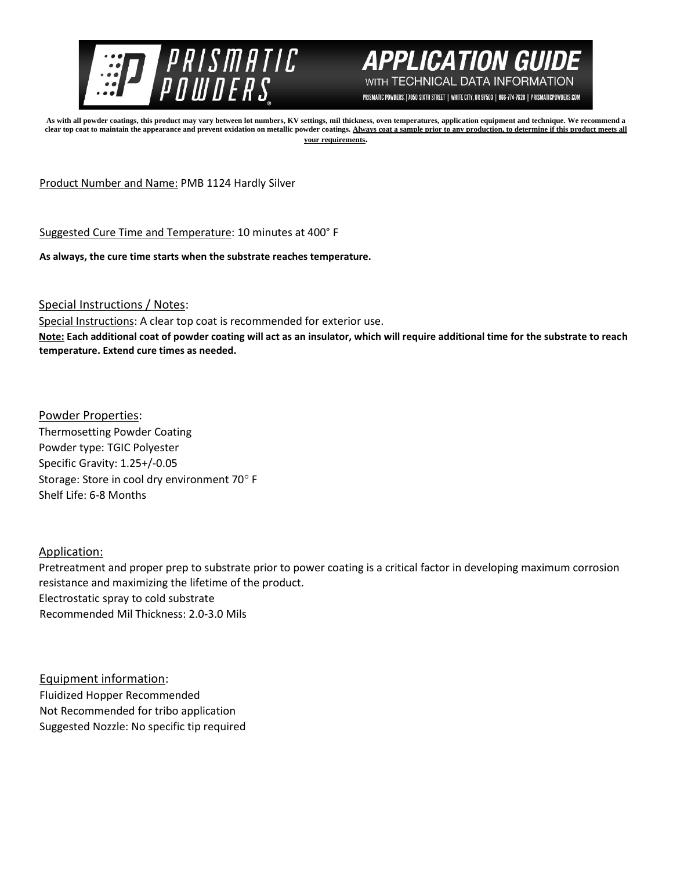



PRISMATIC POWDERS. | 7050 SIXTH STREET | WHITE CITY, OR 97503 | 866-774-7628 | PRISMATICPOWDERS.COM

**As with all powder coatings, this product may vary between lot numbers, KV settings, mil thickness, oven temperatures, application equipment and technique. We recommend a**  clear top coat to maintain the appearance and prevent oxidation on metallic powder coatings. Always coat a sample prior to any production, to determine if this product meets all **your requirements.** 

Product Number and Name: PMB 1124 Hardly Silver

Suggested Cure Time and Temperature: 10 minutes at 400° F

**As always, the cure time starts when the substrate reaches temperature.**

Special Instructions / Notes:

Special Instructions: A clear top coat is recommended for exterior use.

**Note: Each additional coat of powder coating will act as an insulator, which will require additional time for the substrate to reach temperature. Extend cure times as needed.** 

Powder Properties: Thermosetting Powder Coating Powder type: TGIC Polyester Specific Gravity: 1.25+/-0.05 Storage: Store in cool dry environment 70° F Shelf Life: 6-8 Months

## Application:

Pretreatment and proper prep to substrate prior to power coating is a critical factor in developing maximum corrosion resistance and maximizing the lifetime of the product. Electrostatic spray to cold substrate Recommended Mil Thickness: 2.0-3.0 Mils

Equipment information: Fluidized Hopper Recommended Not Recommended for tribo application Suggested Nozzle: No specific tip required